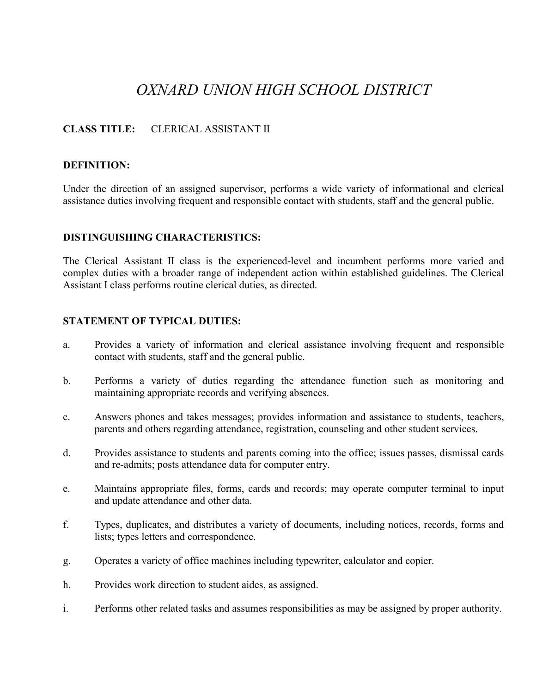# *OXNARD UNION HIGH SCHOOL DISTRICT*

# **CLASS TITLE:** CLERICAL ASSISTANT II

## **DEFINITION:**

Under the direction of an assigned supervisor, performs a wide variety of informational and clerical assistance duties involving frequent and responsible contact with students, staff and the general public.

#### **DISTINGUISHING CHARACTERISTICS:**

The Clerical Assistant II class is the experienced-level and incumbent performs more varied and complex duties with a broader range of independent action within established guidelines. The Clerical Assistant I class performs routine clerical duties, as directed.

#### **STATEMENT OF TYPICAL DUTIES:**

- a. Provides a variety of information and clerical assistance involving frequent and responsible contact with students, staff and the general public.
- b. Performs a variety of duties regarding the attendance function such as monitoring and maintaining appropriate records and verifying absences.
- c. Answers phones and takes messages; provides information and assistance to students, teachers, parents and others regarding attendance, registration, counseling and other student services.
- d. Provides assistance to students and parents coming into the office; issues passes, dismissal cards and re-admits; posts attendance data for computer entry.
- e. Maintains appropriate files, forms, cards and records; may operate computer terminal to input and update attendance and other data.
- f. Types, duplicates, and distributes a variety of documents, including notices, records, forms and lists; types letters and correspondence.
- g. Operates a variety of office machines including typewriter, calculator and copier.
- h. Provides work direction to student aides, as assigned.
- i. Performs other related tasks and assumes responsibilities as may be assigned by proper authority.